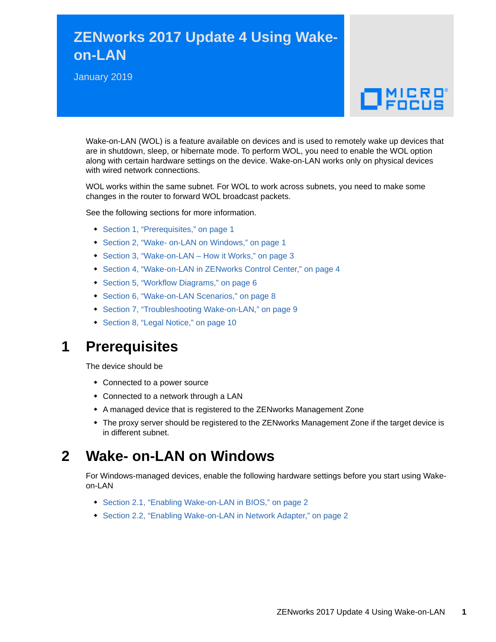# **ZENworks 2017 Update 4 Using Wakeon-LAN**

January 2019

# $\Box$ MICRO

Wake-on-LAN (WOL) is a feature available on devices and is used to remotely wake up devices that are in shutdown, sleep, or hibernate mode. To perform WOL, you need to enable the WOL option along with certain hardware settings on the device. Wake-on-LAN works only on physical devices with wired network connections.

WOL works within the same subnet. For WOL to work across subnets, you need to make some changes in the router to forward WOL broadcast packets.

See the following sections for more information.

- [Section 1, "Prerequisites," on page 1](#page-0-0)
- [Section 2, "Wake- on-LAN on Windows," on page 1](#page-0-1)
- ◆ [Section 3, "Wake-on-LAN How it Works," on page 3](#page-2-0)
- [Section 4, "Wake-on-LAN in ZENworks Control Center," on page 4](#page-3-0)
- [Section 5, "Workflow Diagrams," on page 6](#page-5-0)
- [Section 6, "Wake-on-LAN Scenarios," on page 8](#page-7-0)
- [Section 7, "Troubleshooting Wake-on-LAN," on page 9](#page-8-0)
- [Section 8, "Legal Notice," on page 10](#page-9-0)

## <span id="page-0-0"></span>**1 Prerequisites**

The device should be

- Connected to a power source
- Connected to a network through a LAN
- A managed device that is registered to the ZENworks Management Zone
- The proxy server should be registered to the ZENworks Management Zone if the target device is in different subnet.

## <span id="page-0-1"></span>**2 Wake- on-LAN on Windows**

For Windows-managed devices, enable the following hardware settings before you start using Wakeon-LAN

- ◆ [Section 2.1, "Enabling Wake-on-LAN in BIOS," on page 2](#page-1-0)
- ◆ [Section 2.2, "Enabling Wake-on-LAN in Network Adapter," on page 2](#page-1-1)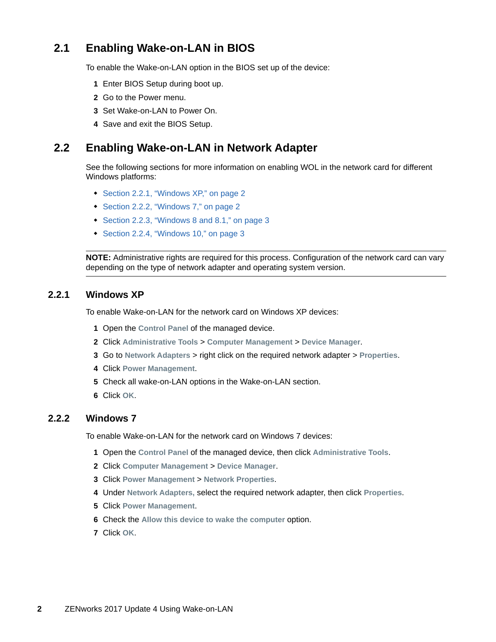## <span id="page-1-0"></span>**2.1 Enabling Wake-on-LAN in BIOS**

To enable the Wake-on-LAN option in the BIOS set up of the device:

- **1** Enter BIOS Setup during boot up.
- **2** Go to the Power menu.
- **3** Set Wake-on-LAN to Power On.
- **4** Save and exit the BIOS Setup.

#### <span id="page-1-1"></span>**2.2 Enabling Wake-on-LAN in Network Adapter**

See the following sections for more information on enabling WOL in the network card for different Windows platforms:

- [Section 2.2.1, "Windows XP," on page 2](#page-1-2)
- ◆ [Section 2.2.2, "Windows 7," on page 2](#page-1-3)
- [Section 2.2.3, "Windows 8 and 8.1," on page 3](#page-2-1)
- [Section 2.2.4, "Windows 10," on page 3](#page-2-2)

**NOTE:** Administrative rights are required for this process. Configuration of the network card can vary depending on the type of network adapter and operating system version.

#### <span id="page-1-2"></span>**2.2.1 Windows XP**

To enable Wake-on-LAN for the network card on Windows XP devices:

- **1** Open the **Control Panel** of the managed device.
- **2** Click **Administrative Tools** > **Computer Management** > **Device Manager**.
- **3** Go to **Network Adapters** > right click on the required network adapter > **Properties**.
- **4** Click **Power Management**.
- **5** Check all wake-on-LAN options in the Wake-on-LAN section.
- **6** Click **OK**.

#### <span id="page-1-3"></span>**2.2.2 Windows 7**

To enable Wake-on-LAN for the network card on Windows 7 devices:

- **1** Open the **Control Panel** of the managed device, then click **Administrative Tools**.
- **2** Click **Computer Management** > **Device Manager**.
- **3** Click **Power Management** > **Network Properties**.
- **4** Under **Network Adapters,** select the required network adapter, then click **Properties**.
- **5** Click **Power Management**.
- **6** Check the Allow this device to wake the computer option.
- **7** Click **OK**.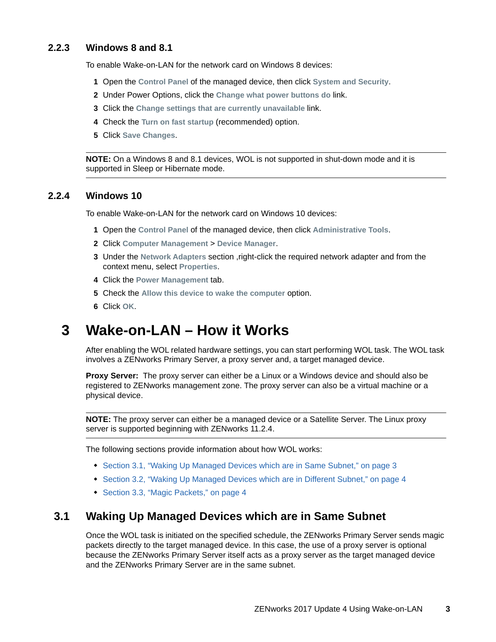#### <span id="page-2-1"></span>**2.2.3 Windows 8 and 8.1**

To enable Wake-on-LAN for the network card on Windows 8 devices:

- **1** Open the **Control Panel** of the managed device, then click **System and Security**.
- **2** Under Power Options, click the **Change what power buttons do** link.
- **3** Click the **Change settings that are currently unavailable** link.
- **4** Check the **Turn on fast startup** (recommended) option.
- **5** Click **Save Changes**.

**NOTE:** On a Windows 8 and 8.1 devices, WOL is not supported in shut-down mode and it is supported in Sleep or Hibernate mode.

#### <span id="page-2-2"></span>**2.2.4 Windows 10**

To enable Wake-on-LAN for the network card on Windows 10 devices:

- **1** Open the **Control Panel** of the managed device, then click **Administrative Tools**.
- **2** Click **Computer Management** > **Device Manager**.
- **3** Under the **Network Adapters** section ,right-click the required network adapter and from the context menu, select **Properties**.
- **4** Click the **Power Management** tab.
- **5** Check the **Allow this device to wake the computer** option.
- **6** Click **OK**.

## <span id="page-2-0"></span>**3 Wake-on-LAN – How it Works**

After enabling the WOL related hardware settings, you can start performing WOL task. The WOL task involves a ZENworks Primary Server, a proxy server and, a target managed device.

**Proxy Server:** The proxy server can either be a Linux or a Windows device and should also be registered to ZENworks management zone. The proxy server can also be a virtual machine or a physical device.

**NOTE:** The proxy server can either be a managed device or a Satellite Server. The Linux proxy server is supported beginning with ZENworks 11.2.4.

The following sections provide information about how WOL works:

- [Section 3.1, "Waking Up Managed Devices which are in Same Subnet," on page 3](#page-2-3)
- [Section 3.2, "Waking Up Managed Devices which are in Different Subnet," on page 4](#page-3-1)
- [Section 3.3, "Magic Packets," on page 4](#page-3-2)

#### <span id="page-2-3"></span>**3.1 Waking Up Managed Devices which are in Same Subnet**

Once the WOL task is initiated on the specified schedule, the ZENworks Primary Server sends magic packets directly to the target managed device. In this case, the use of a proxy server is optional because the ZENworks Primary Server itself acts as a proxy server as the target managed device and the ZENworks Primary Server are in the same subnet.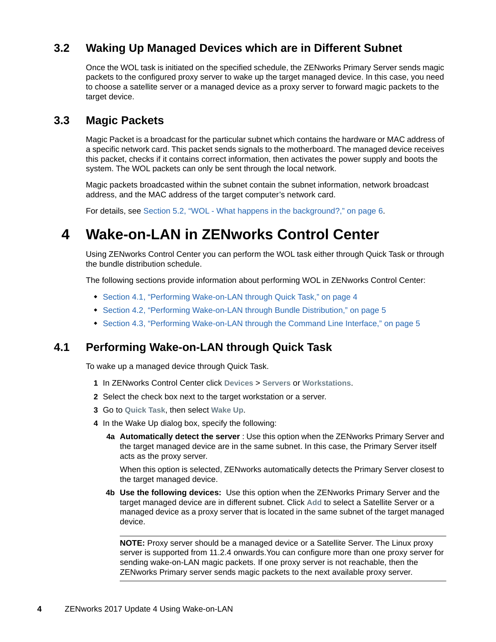## <span id="page-3-1"></span>**3.2 Waking Up Managed Devices which are in Different Subnet**

Once the WOL task is initiated on the specified schedule, the ZENworks Primary Server sends magic packets to the configured proxy server to wake up the target managed device. In this case, you need to choose a satellite server or a managed device as a proxy server to forward magic packets to the target device.

#### <span id="page-3-2"></span>**3.3 Magic Packets**

Magic Packet is a broadcast for the particular subnet which contains the hardware or MAC address of a specific network card. This packet sends signals to the motherboard. The managed device receives this packet, checks if it contains correct information, then activates the power supply and boots the system. The WOL packets can only be sent through the local network.

Magic packets broadcasted within the subnet contain the subnet information, network broadcast address, and the MAC address of the target computer's network card.

For details, see [Section 5.2, "WOL - What happens in the background?," on page 6.](#page-5-1)

## <span id="page-3-0"></span>**4 Wake-on-LAN in ZENworks Control Center**

Using ZENworks Control Center you can perform the WOL task either through Quick Task or through the bundle distribution schedule.

The following sections provide information about performing WOL in ZENworks Control Center:

- [Section 4.1, "Performing Wake-on-LAN through Quick Task," on page 4](#page-3-3)
- [Section 4.2, "Performing Wake-on-LAN through Bundle Distribution," on page 5](#page-4-0)
- [Section 4.3, "Performing Wake-on-LAN through the Command Line Interface," on page 5](#page-4-1)

#### <span id="page-3-3"></span>**4.1 Performing Wake-on-LAN through Quick Task**

To wake up a managed device through Quick Task.

- **1** In ZENworks Control Center click **Devices** > **Servers** or **Workstations**.
- **2** Select the check box next to the target workstation or a server.
- **3** Go to **Quick Task**, then select **Wake Up**.
- <span id="page-3-4"></span>**4** In the Wake Up dialog box, specify the following:
	- **4a Automatically detect the server** : Use this option when the ZENworks Primary Server and the target managed device are in the same subnet. In this case, the Primary Server itself acts as the proxy server.

When this option is selected, ZENworks automatically detects the Primary Server closest to the target managed device.

**4b Use the following devices:** Use this option when the ZENworks Primary Server and the target managed device are in different subnet. Click **Add** to select a Satellite Server or a managed device as a proxy server that is located in the same subnet of the target managed device.

**NOTE:** Proxy server should be a managed device or a Satellite Server. The Linux proxy server is supported from 11.2.4 onwards.You can configure more than one proxy server for sending wake-on-LAN magic packets. If one proxy server is not reachable, then the ZENworks Primary server sends magic packets to the next available proxy server.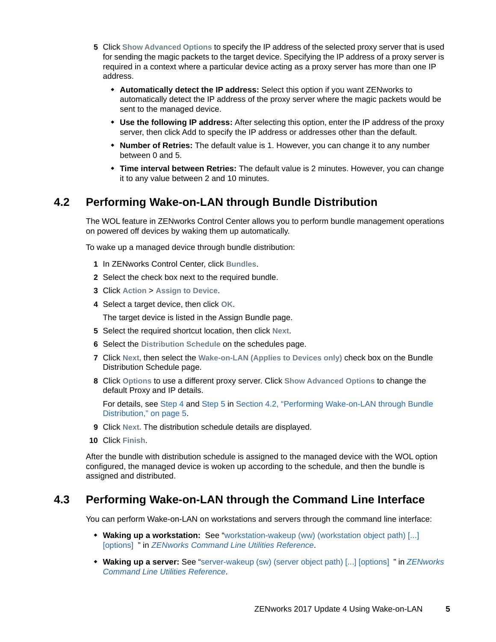- <span id="page-4-2"></span>**5** Click **Show Advanced Options** to specify the IP address of the selected proxy server that is used for sending the magic packets to the target device. Specifying the IP address of a proxy server is required in a context where a particular device acting as a proxy server has more than one IP address.
	- **Automatically detect the IP address:** Select this option if you want ZENworks to automatically detect the IP address of the proxy server where the magic packets would be sent to the managed device.
	- **Use the following IP address:** After selecting this option, enter the IP address of the proxy server, then click Add to specify the IP address or addresses other than the default.
	- **Number of Retries:** The default value is 1. However, you can change it to any number between 0 and 5.
	- **Time interval between Retries:** The default value is 2 minutes. However, you can change it to any value between 2 and 10 minutes.

### <span id="page-4-0"></span>**4.2 Performing Wake-on-LAN through Bundle Distribution**

The WOL feature in ZENworks Control Center allows you to perform bundle management operations on powered off devices by waking them up automatically.

To wake up a managed device through bundle distribution:

- **1** In ZENworks Control Center, click **Bundles**.
- **2** Select the check box next to the required bundle.
- **3** Click **Action** > **Assign to Device**.
- **4** Select a target device, then click **OK**.

The target device is listed in the Assign Bundle page.

- **5** Select the required shortcut location, then click **Next**.
- **6** Select the **Distribution Schedule** on the schedules page.
- **7** Click **Next,** then select the **Wake-on-LAN (Applies to Devices only)** check box on the Bundle Distribution Schedule page.
- **8** Click **Options** to use a different proxy server. Click **Show Advanced Options** to change the default Proxy and IP details.

For details, see [Step 4](#page-3-4) and [Step 5](#page-4-2) in [Section 4.2, "Performing Wake-on-LAN through Bundle](#page-4-0)  [Distribution," on page 5](#page-4-0).

- **9** Click **Next.** The distribution schedule details are displayed.
- **10** Click **Finish**.

After the bundle with distribution schedule is assigned to the managed device with the WOL option configured, the managed device is woken up according to the schedule, and then the bundle is assigned and distributed.

#### <span id="page-4-1"></span>**4.3 Performing Wake-on-LAN through the Command Line Interface**

You can perform Wake-on-LAN on workstations and servers through the command line interface:

- **Waking up a workstation:** See ["workstation-wakeup \(ww\) \(workstation object path\) \[...\]](https://www.novell.com/documentation/zenworks2017/pdfdoc/zen_utils/zen_utils.pdf#b9b81bd)  [options] " in *[ZENworks Command Line Utilities Reference](https://www.novell.com/documentation/zenworks2017/pdfdoc/zen_utils/zen_utils.pdf#bookinfo)*.
- **Waking up a server:** See ["server-wakeup \(sw\) \(server object path\) \[...\] \[options\] "](https://www.novell.com/documentation/zenworks2017/pdfdoc/zen_utils/zen_utils.pdf#b9b7xwx) in *[ZENworks](https://www.novell.com/documentation/zenworks2017/pdfdoc/zen_utils/zen_utils.pdf#bookinfo)  Command Line Utilities Reference*.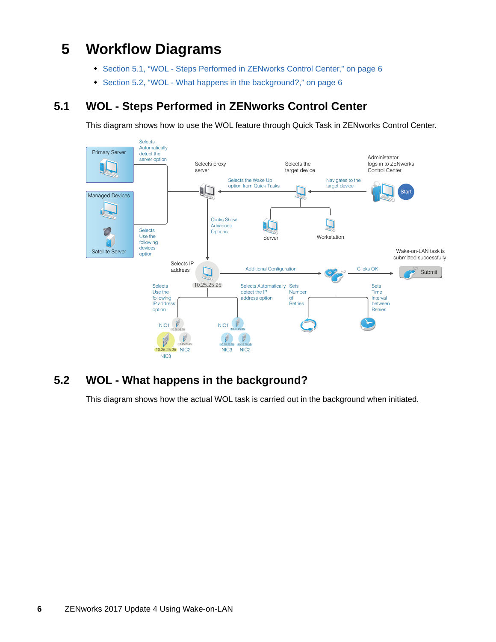# <span id="page-5-0"></span>**5 Workflow Diagrams**

- [Section 5.1, "WOL Steps Performed in ZENworks Control Center," on page 6](#page-5-2)
- [Section 5.2, "WOL What happens in the background?," on page 6](#page-5-1)

## <span id="page-5-2"></span>**5.1 WOL - Steps Performed in ZENworks Control Center**

This diagram shows how to use the WOL feature through Quick Task in ZENworks Control Center.



## <span id="page-5-1"></span>**5.2 WOL - What happens in the background?**

This diagram shows how the actual WOL task is carried out in the background when initiated.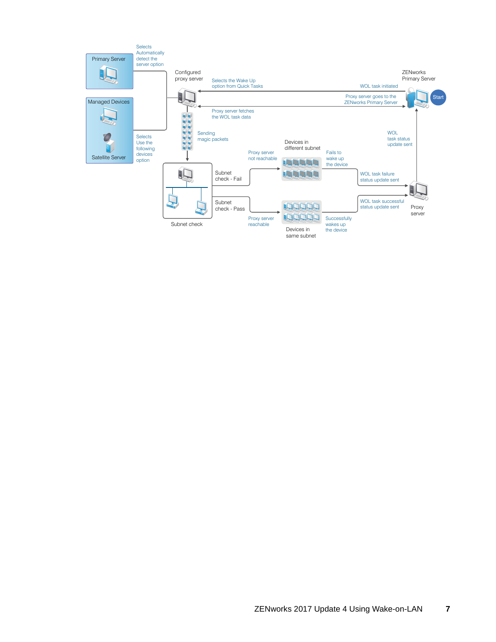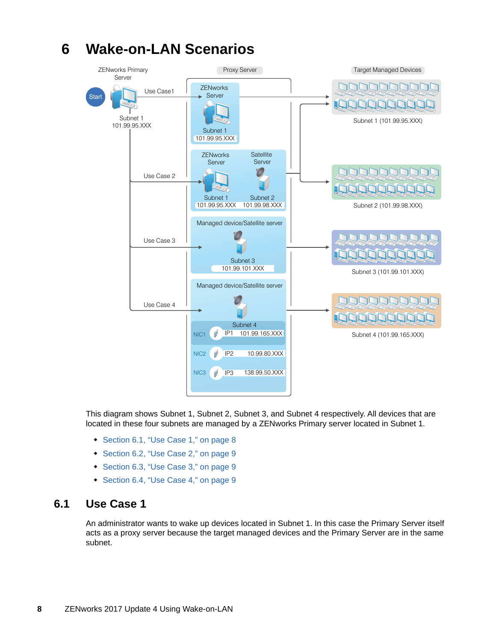

#### This diagram shows Subnet 1, Subnet 2, Subnet 3, and Subnet 4 respectively. All devices that are located in these four subnets are managed by a ZENworks Primary server located in Subnet 1.

- [Section 6.1, "Use Case 1," on page 8](#page-7-1)
- [Section 6.2, "Use Case 2," on page 9](#page-8-1)
- [Section 6.3, "Use Case 3," on page 9](#page-8-2)
- [Section 6.4, "Use Case 4," on page 9](#page-8-3)

#### <span id="page-7-1"></span>**6.1 Use Case 1**

An administrator wants to wake up devices located in Subnet 1. In this case the Primary Server itself acts as a proxy server because the target managed devices and the Primary Server are in the same subnet.

# <span id="page-7-0"></span>**6 Wake-on-LAN Scenarios**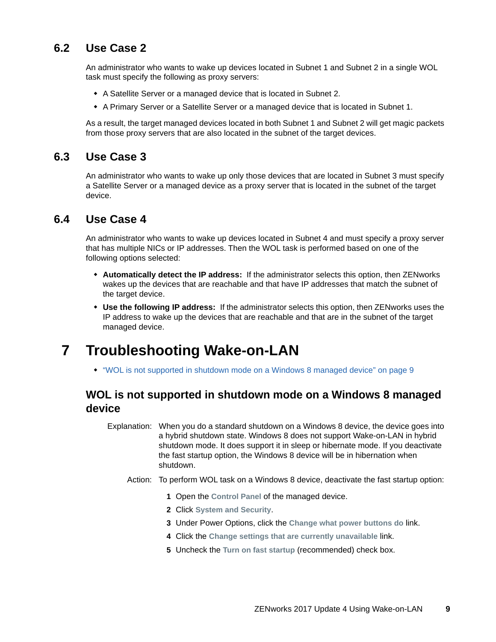### <span id="page-8-1"></span>**6.2 Use Case 2**

An administrator who wants to wake up devices located in Subnet 1 and Subnet 2 in a single WOL task must specify the following as proxy servers:

- A Satellite Server or a managed device that is located in Subnet 2.
- A Primary Server or a Satellite Server or a managed device that is located in Subnet 1.

As a result, the target managed devices located in both Subnet 1 and Subnet 2 will get magic packets from those proxy servers that are also located in the subnet of the target devices.

### <span id="page-8-2"></span>**6.3 Use Case 3**

An administrator who wants to wake up only those devices that are located in Subnet 3 must specify a Satellite Server or a managed device as a proxy server that is located in the subnet of the target device.

#### <span id="page-8-3"></span>**6.4 Use Case 4**

An administrator who wants to wake up devices located in Subnet 4 and must specify a proxy server that has multiple NICs or IP addresses. Then the WOL task is performed based on one of the following options selected:

- **Automatically detect the IP address:** If the administrator selects this option, then ZENworks wakes up the devices that are reachable and that have IP addresses that match the subnet of the target device.
- **Use the following IP address:** If the administrator selects this option, then ZENworks uses the IP address to wake up the devices that are reachable and that are in the subnet of the target managed device.

# <span id="page-8-0"></span>**7 Troubleshooting Wake-on-LAN**

["WOL is not supported in shutdown mode on a Windows 8 managed device" on page 9](#page-8-4)

### <span id="page-8-4"></span>**WOL is not supported in shutdown mode on a Windows 8 managed device**

Explanation: When you do a standard shutdown on a Windows 8 device, the device goes into a hybrid shutdown state. Windows 8 does not support Wake-on-LAN in hybrid shutdown mode. It does support it in sleep or hibernate mode. If you deactivate the fast startup option, the Windows 8 device will be in hibernation when shutdown.

- Action: To perform WOL task on a Windows 8 device, deactivate the fast startup option:
	- **1** Open the **Control Panel** of the managed device.
	- **2** Click **System and Security**.
	- **3** Under Power Options, click the **Change what power buttons do** link.
	- **4** Click the **Change settings that are currently unavailable** link.
	- **5** Uncheck the **Turn on fast startup** (recommended) check box.